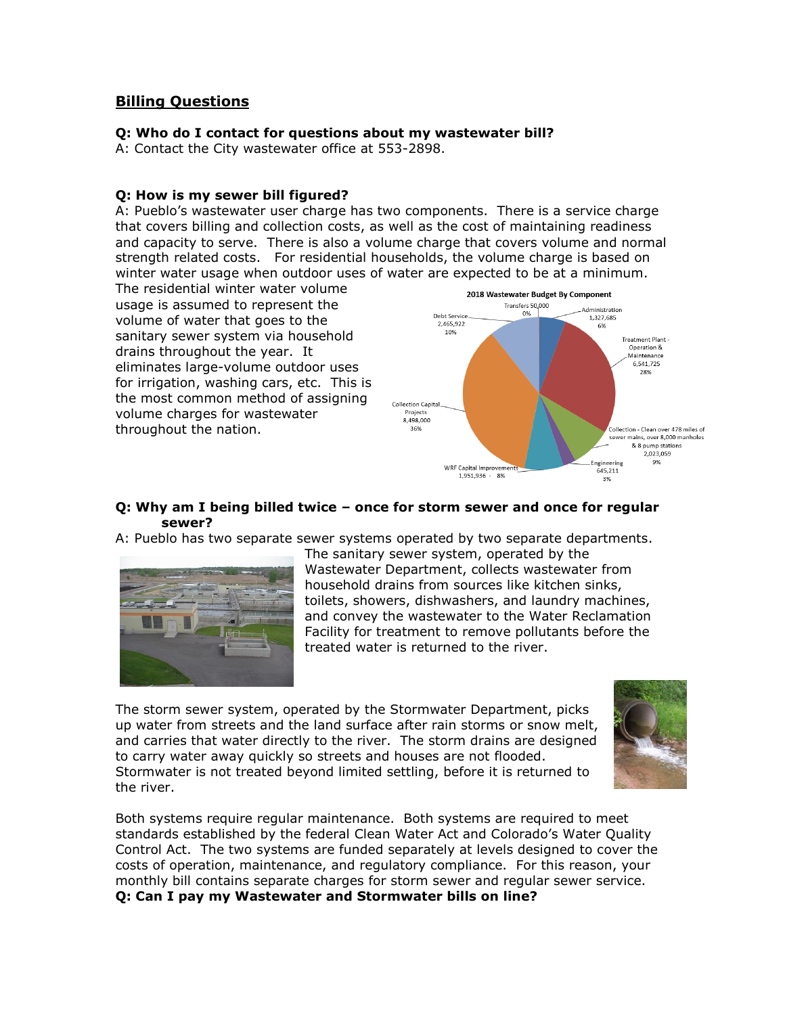# **Billing Questions**

#### **Q: Who do I contact for questions about my wastewater bill?**

A: Contact the City wastewater office at 553-2898.

#### **Q: How is my sewer bill figured?**

A: Pueblo's wastewater user charge has two components. There is a service charge that covers billing and collection costs, as well as the cost of maintaining readiness and capacity to serve. There is also a volume charge that covers volume and normal strength related costs. For residential households, the volume charge is based on winter water usage when outdoor uses of water are expected to be at a minimum.

The residential winter water volume usage is assumed to represent the volume of water that goes to the sanitary sewer system via household drains throughout the year. It eliminates large-volume outdoor uses for irrigation, washing cars, etc. This is the most common method of assigning volume charges for wastewater throughout the nation.



### **Q: Why am I being billed twice – once for storm sewer and once for regular sewer?**

A: Pueblo has two separate sewer systems operated by two separate departments.



The sanitary sewer system, operated by the Wastewater Department, collects wastewater from household drains from sources like kitchen sinks, toilets, showers, dishwashers, and laundry machines, and convey the wastewater to the Water Reclamation Facility for treatment to remove pollutants before the treated water is returned to the river.

The storm sewer system, operated by the Stormwater Department, picks up water from streets and the land surface after rain storms or snow melt, and carries that water directly to the river. The storm drains are designed to carry water away quickly so streets and houses are not flooded. Stormwater is not treated beyond limited settling, before it is returned to the river.



Both systems require regular maintenance. Both systems are required to meet standards established by the federal Clean Water Act and Colorado's Water Quality Control Act. The two systems are funded separately at levels designed to cover the costs of operation, maintenance, and regulatory compliance. For this reason, your monthly bill contains separate charges for storm sewer and regular sewer service. **Q: Can I pay my Wastewater and Stormwater bills on line?**